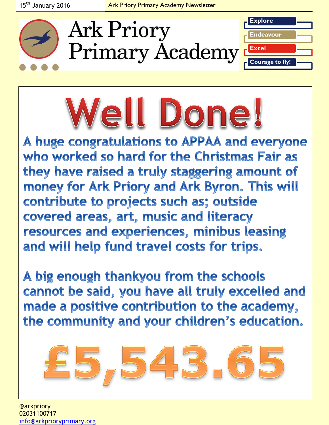



A huge congratulations to APPAA and everyone who worked so hard for the Christmas Fair as they have raised a truly staggering amount of money for Ark Priory and Ark Byron. This will contribute to projects such as; outside covered areas, art, music and literacy resources and experiences, minibus leasing and will help fund travel costs for trips.

A big enough thankyou from the schools cannot be said, you have all truly excelled and made a positive contribution to the academy, the community and your children's education.



@arkpriory 02031100717 [info@arkprioryprimary.org](mailto:info@arkprioryprimary.org)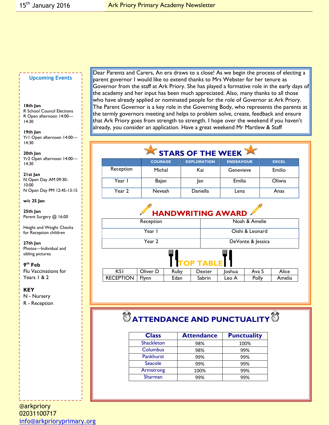#### **Upcoming Events**

#### **18th Jan**

R School Council Elections R Open afternoon 14:00— 14:30

**19th Jan** Yr1 Open afternoon 14:00— 14:30

**20th Jan** Yr2 Open afternoon 14:00— 14:30

**21st Jan** N Open Day AM 09:30- 10:00 N Open Day PM 12:45-13:15

#### **w/c 25 Jan**

**25th Jan** Parent Surgery @ 16:00

Height and Weight Checks for Reception children

#### **27th Jan** Photos—Individual and

sibling pictures

#### **9 th Feb**

Flu Vaccinations for Years 1 & 2

### **KEY**

N - Nursery R - Reception

Dear Parents and Carers, An era draws to a close! As we begin the process of electing a parent governor I would like to extend thanks to Mrs Webster for her tenure as Governor from the staff at Ark Priory. She has played a formative role in the early days of the academy and her input has been much appreciated. Also, many thanks to all those who have already applied or nominated people for the role of Governor at Ark Priory. The Parent Governor is a key role in the Governing Body, who represents the parents at the termly governors meeting and helps to problem solve, create, feedback and ensure that Ark Priory goes from strength to strength. I hope over the weekend if you haven't already, you consider an application. Have a great weekend Mr Martlew & Staff

## STARS OF THE WEEK

|           | <b>COURAGE</b> | <b>EXPLORATION</b> | <b>ENDEAVOUR</b> | <b>EXCEL</b> |
|-----------|----------------|--------------------|------------------|--------------|
| Reception | Michal         | Kai                | Genevieve        | Emilio       |
| Year      | Bajan          | lan                | Emilia           | Oliwia       |
| Year 2    | Neveah         | Daniella           | Lena             | Anas         |

### **HANDWRITING AWARD**

| Reception                  |          |      |        | Noah & Amelie     |       |        |  |  |
|----------------------------|----------|------|--------|-------------------|-------|--------|--|--|
| Year I                     |          |      |        | Oishi & Leonard   |       |        |  |  |
| Year 2                     |          |      |        | DeVonte & Jessica |       |        |  |  |
| Ш<br>Ш<br><b>TOP TABLE</b> |          |      |        |                   |       |        |  |  |
| <b>KSI</b>                 | Oliver D | Ruby | Dexter | Joshua            | Ava S | Alice  |  |  |
| <b>RECEPTION</b>           | Flynn    | Edan | Sabrin | Leo A             | Polly | Amelia |  |  |

# $\bullet$  **ATTENDANCE AND PUNCTUALITY**  $\bullet$

| <b>Class</b>      | <b>Attendance</b> | <b>Punctuality</b> |  |  |
|-------------------|-------------------|--------------------|--|--|
| <b>Shackleton</b> | 98%               | 100%               |  |  |
| Columbus          | 98%               | 99%                |  |  |
| Pankhurst         | 99%               | 99%                |  |  |
| Seacole           | 99%               | 99%                |  |  |
| Armstrong         | 100%              | 99%                |  |  |
| Sharman           | 99%               | 99%                |  |  |

@arkpriory 02031100717 [info@arkprioryprimary.org](mailto:info@arkprioryprimary.org)